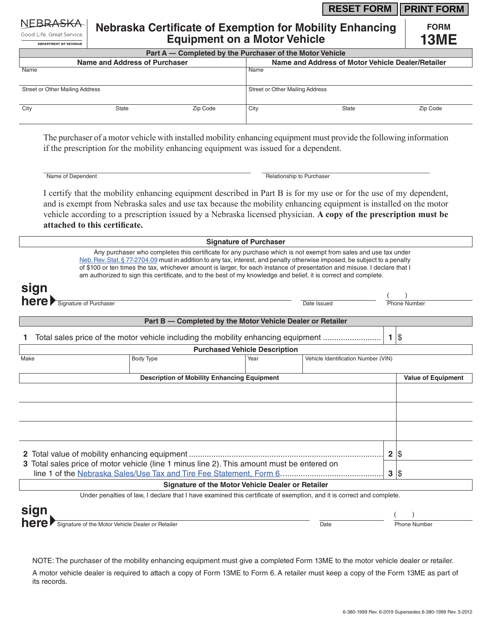## **RESET FORM FRINT FORM**

Good Life, Great Service, DEPARTMENT OF REVENUE

## **Nebraska Certificate of Exemption for Mobility Enhancing Equipment on a Motor Vehicle**

**FORM 13ME**

| Part A — Completed by the Purchaser of the Motor Vehicle |       |          |                                                   |       |          |  |  |
|----------------------------------------------------------|-------|----------|---------------------------------------------------|-------|----------|--|--|
| Name and Address of Purchaser                            |       |          | Name and Address of Motor Vehicle Dealer/Retailer |       |          |  |  |
| Name                                                     |       |          | Name                                              |       |          |  |  |
| Street or Other Mailing Address                          |       |          | Street or Other Mailing Address                   |       |          |  |  |
| City                                                     | State | Zip Code | City                                              | State | Zip Code |  |  |

The purchaser of a motor vehicle with installed mobility enhancing equipment must provide the following information if the prescription for the mobility enhancing equipment was issued for a dependent.

\_\_\_\_\_\_\_\_\_\_\_\_\_\_\_\_\_\_\_\_\_\_\_\_\_\_\_\_\_\_\_\_\_\_\_\_\_\_\_\_\_\_\_\_\_\_\_ \_\_\_\_\_\_\_\_\_\_\_\_\_\_\_\_\_\_\_\_\_\_\_\_\_\_\_\_\_\_\_\_\_\_\_\_\_\_

Name of Dependent **Relationship to Purchaser** Relationship to Purchaser

I certify that the mobility enhancing equipment described in Part B is for my use or for the use of my dependent, and is exempt from Nebraska sales and use tax because the mobility enhancing equipment is installed on the motor vehicle according to a prescription issued by a Nebraska licensed physician. **A copy of the prescription must be attached to this certificate.**

| <b>Signature of Purchaser</b>                                                                                                                                                                                                                                                                                                                                                                                                                                                                |                                                            |                                     |                           |  |  |  |
|----------------------------------------------------------------------------------------------------------------------------------------------------------------------------------------------------------------------------------------------------------------------------------------------------------------------------------------------------------------------------------------------------------------------------------------------------------------------------------------------|------------------------------------------------------------|-------------------------------------|---------------------------|--|--|--|
| Any purchaser who completes this certificate for any purchase which is not exempt from sales and use tax under<br>Neb. Rev. Stat. § 77-2704.09 must in addition to any tax, interest, and penalty otherwise imposed, be subject to a penalty<br>of \$100 or ten times the tax, whichever amount is larger, for each instance of presentation and misuse. I declare that I<br>am authorized to sign this certificate, and to the best of my knowledge and belief, it is correct and complete. |                                                            |                                     |                           |  |  |  |
| sign<br>here Signature of Purchaser                                                                                                                                                                                                                                                                                                                                                                                                                                                          |                                                            | Date Issued                         |                           |  |  |  |
|                                                                                                                                                                                                                                                                                                                                                                                                                                                                                              |                                                            |                                     |                           |  |  |  |
|                                                                                                                                                                                                                                                                                                                                                                                                                                                                                              | Part B - Completed by the Motor Vehicle Dealer or Retailer |                                     |                           |  |  |  |
| Total sales price of the motor vehicle including the mobility enhancing equipment                                                                                                                                                                                                                                                                                                                                                                                                            |                                                            |                                     | $1$   \$                  |  |  |  |
| <b>Purchased Vehicle Description</b>                                                                                                                                                                                                                                                                                                                                                                                                                                                         |                                                            |                                     |                           |  |  |  |
| Make<br>Body Type                                                                                                                                                                                                                                                                                                                                                                                                                                                                            | Year                                                       | Vehicle Identification Number (VIN) |                           |  |  |  |
| <b>Description of Mobility Enhancing Equipment</b>                                                                                                                                                                                                                                                                                                                                                                                                                                           |                                                            |                                     | <b>Value of Equipment</b> |  |  |  |
|                                                                                                                                                                                                                                                                                                                                                                                                                                                                                              |                                                            |                                     |                           |  |  |  |
|                                                                                                                                                                                                                                                                                                                                                                                                                                                                                              |                                                            |                                     |                           |  |  |  |
|                                                                                                                                                                                                                                                                                                                                                                                                                                                                                              | 2 \$                                                       |                                     |                           |  |  |  |
| 3 Total sales price of motor vehicle (line 1 minus line 2). This amount must be entered on                                                                                                                                                                                                                                                                                                                                                                                                   | 3                                                          |                                     |                           |  |  |  |
| <b>Signature of the Motor Vehicle Dealer or Retailer</b>                                                                                                                                                                                                                                                                                                                                                                                                                                     |                                                            |                                     |                           |  |  |  |
| Under penalties of law, I declare that I have examined this certificate of exemption, and it is correct and complete.                                                                                                                                                                                                                                                                                                                                                                        |                                                            |                                     |                           |  |  |  |
| sign                                                                                                                                                                                                                                                                                                                                                                                                                                                                                         |                                                            |                                     |                           |  |  |  |
| here<br>Signature of the Motor Vehicle Dealer or Retailer                                                                                                                                                                                                                                                                                                                                                                                                                                    |                                                            | Date                                | <b>Phone Number</b>       |  |  |  |

NOTE: The purchaser of the mobility enhancing equipment must give a completed Form 13ME to the motor vehicle dealer or retailer. A motor vehicle dealer is required to attach a copy of Form 13ME to Form 6. A retailer must keep a copy of the Form 13ME as part of its records.